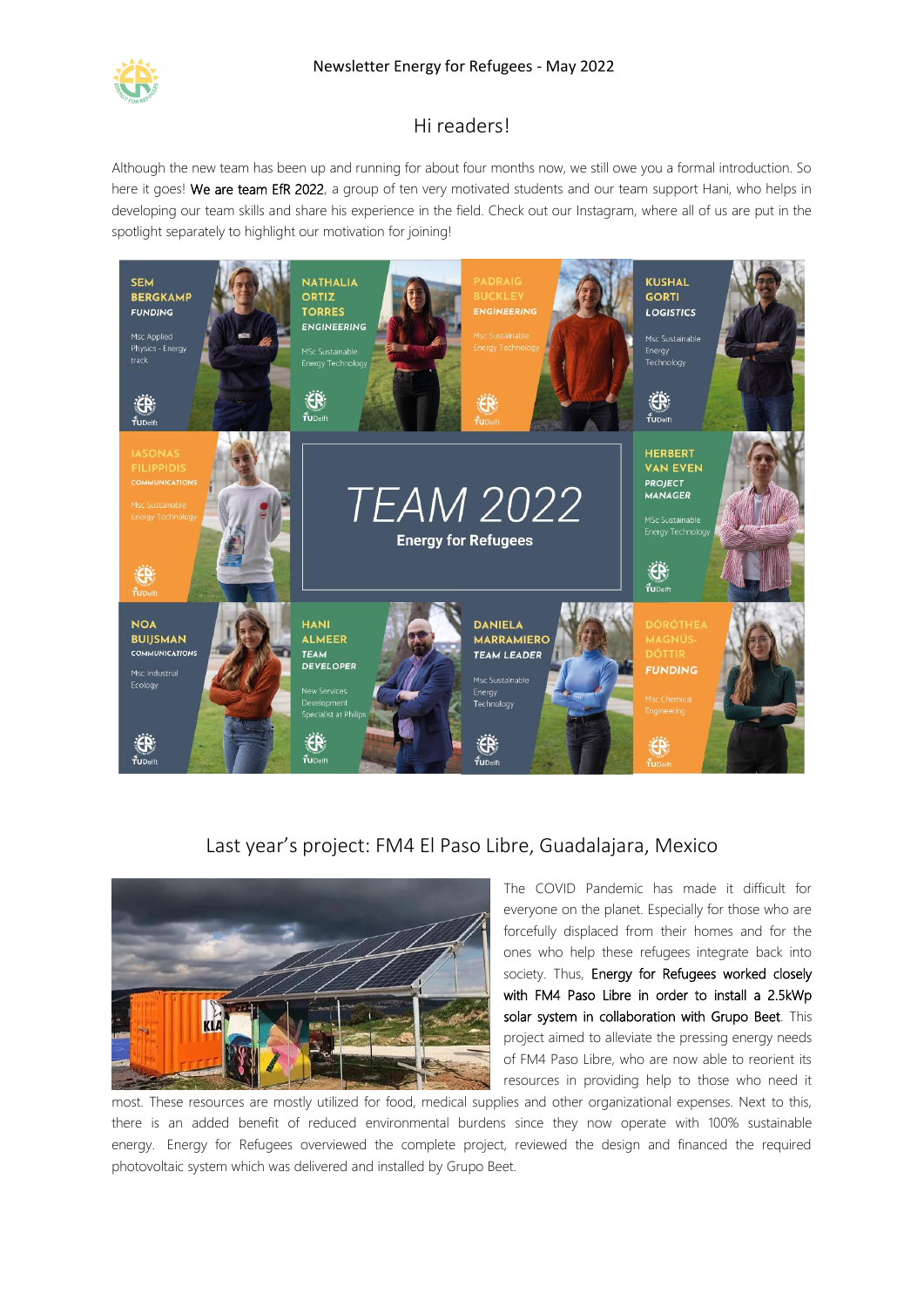

# Hi readers!

Although the new team has been up and running for about four months now, we still owe you a formal introduction. So here it goes! We are team EfR 2022, a group of ten very motivated students and our team support Hani, who helps in developing our team skills and share his experience in the field. Check out our Instagram, where all of us are put in the spotlight separately to highlight our motivation for joining!



## Last year's project: FM4 El Paso Libre, Guadalajara, Mexico



The COVID Pandemic has made it difficult for everyone on the planet. Especially for those who are forcefully displaced from their homes and for the ones who help these refugees integrate back into society. Thus, Energy for Refugees worked closely with FM4 Paso Libre in order to install a 2.5kWp solar system in collaboration with Grupo Beet. This project aimed to alleviate the pressing energy needs of FM4 Paso Libre, who are now able to reorient its resources in providing help to those who need it

most. These resources are mostly utilized for food, medical supplies and other organizational expenses. Next to this, there is an added benefit of reduced environmental burdens since they now operate with 100% sustainable energy. Energy for Refugees overviewed the complete project, reviewed the design and financed the required photovoltaic system which was delivered and installed by Grupo Beet.